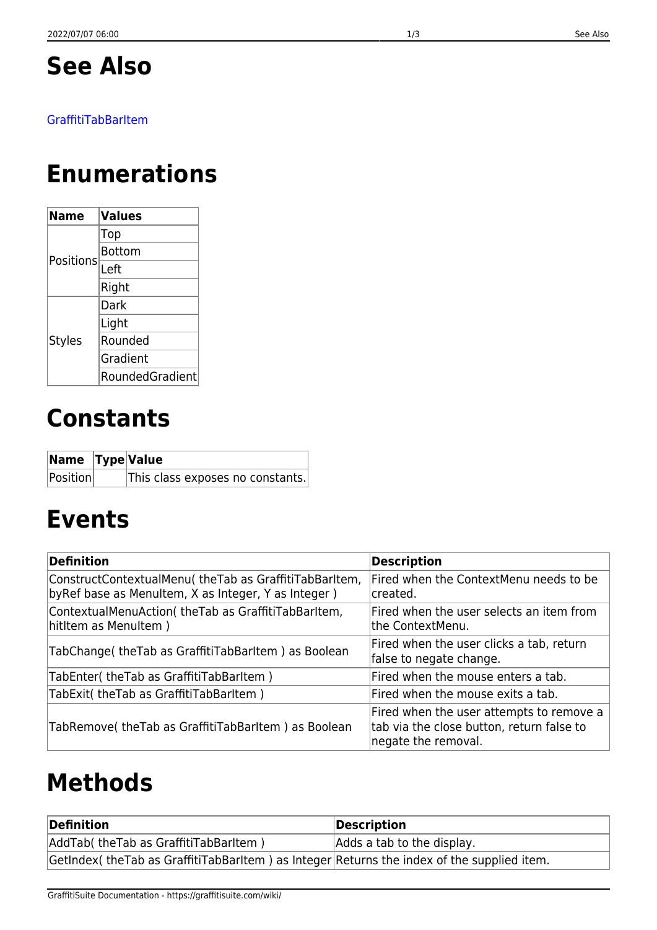## **See Also**

#### [GraffitiTabBarItem](https://graffitisuite.com/wiki/doku.php?id=desktop:tabbaritem:graffititabbaritem)

## **Enumerations**

| Name          | <b>Values</b>   |
|---------------|-----------------|
| Positions     | Top             |
|               | Bottom          |
|               | Left            |
|               | Right           |
| <b>Styles</b> | Dark            |
|               | Light           |
|               | Rounded         |
|               | Gradient        |
|               | RoundedGradient |

## **Constants**

| Name  Type Value |                                  |
|------------------|----------------------------------|
| Position         | This class exposes no constants. |

## **Events**

| Definition                                                                                                     | <b>Description</b>                                                                                           |
|----------------------------------------------------------------------------------------------------------------|--------------------------------------------------------------------------------------------------------------|
| ConstructContextualMenu( theTab as GraffitiTabBarltem,<br>by Ref base as Menultem, X as Integer, Y as Integer) | Fired when the ContextMenu needs to be<br>created.                                                           |
| ContextualMenuAction( theTab as GraffitiTabBarltem,<br>hititem as Menultem)                                    | Fired when the user selects an item from<br>the ContextMenu.                                                 |
| TabChange( the Tab as Graffiti Tab Barltem) as Boolean                                                         | Fired when the user clicks a tab, return<br>false to negate change.                                          |
| TabEnter( the Tab as Graffiti Tab Barltem)                                                                     | Fired when the mouse enters a tab.                                                                           |
| TabExit( theTab as GraffitiTabBarItem)                                                                         | Fired when the mouse exits a tab.                                                                            |
| TabRemove( the Tab as Graffiti Tab Barltem) as Boolean                                                         | Fired when the user attempts to remove a<br>tab via the close button, return false to<br>negate the removal. |

## **Methods**

| Definition                                                                                    | Description                |
|-----------------------------------------------------------------------------------------------|----------------------------|
| AddTab( theTab as GraffitiTabBarItem)                                                         | Adds a tab to the display. |
| GetIndex( the Tab as Graffiti Tab Barltem) as Integer Returns the index of the supplied item. |                            |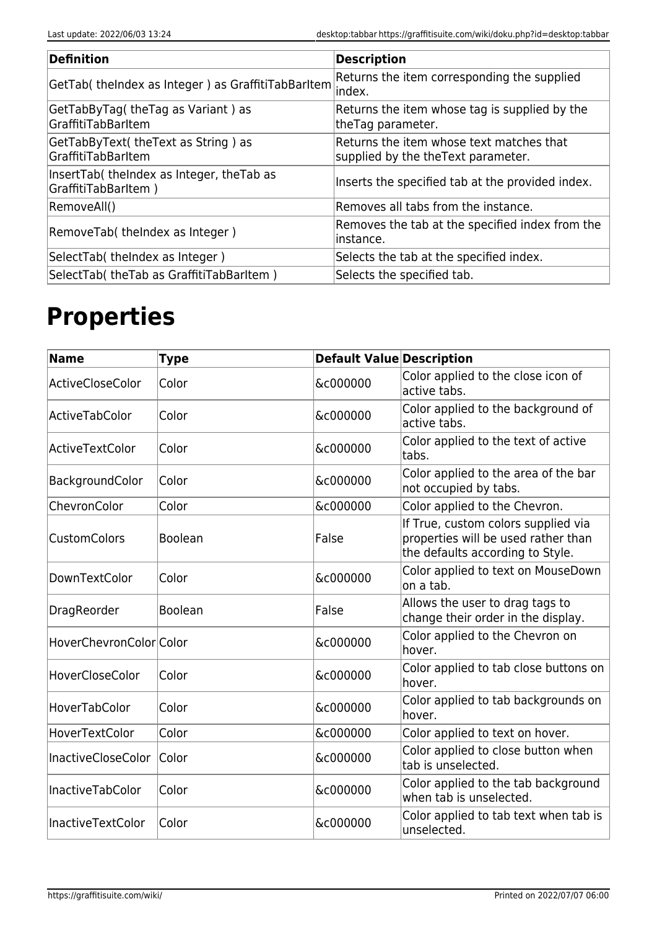| Definition                                                       | <b>Description</b>                                                              |
|------------------------------------------------------------------|---------------------------------------------------------------------------------|
| GetTab( theIndex as Integer) as GraffitiTabBarItem               | Returns the item corresponding the supplied<br>lindex.                          |
| GetTabByTag(theTag as Variant) as<br>GraffitiTabBarItem          | Returns the item whose tag is supplied by the<br>theTag parameter.              |
| GetTabByText( theText as String) as<br><b>GraffitiTabBarItem</b> | Returns the item whose text matches that<br>supplied by the the Text parameter. |
| InsertTab(theIndex as Integer, theTab as<br>GraffitiTabBarltem)  | Inserts the specified tab at the provided index.                                |
| RemoveAll()                                                      | Removes all tabs from the instance.                                             |
| RemoveTab( theIndex as Integer)                                  | Removes the tab at the specified index from the<br>linstance.                   |
| SelectTab( theIndex as Integer)                                  | Selects the tab at the specified index.                                         |
| SelectTab(theTab as GraffitiTabBarItem)                          | Selects the specified tab.                                                      |

# **Properties**

| <b>Name</b>             | <b>Type</b>    | <b>Default Value Description</b> |                                                                                                                |
|-------------------------|----------------|----------------------------------|----------------------------------------------------------------------------------------------------------------|
| ActiveCloseColor        | Color          | &c000000                         | Color applied to the close icon of<br>active tabs.                                                             |
| ActiveTabColor          | Color          | &c000000                         | Color applied to the background of<br>active tabs.                                                             |
| ActiveTextColor         | Color          | &c000000                         | Color applied to the text of active<br>tabs.                                                                   |
| BackgroundColor         | Color          | &c000000                         | Color applied to the area of the bar<br>not occupied by tabs.                                                  |
| ChevronColor            | Color          | &c000000                         | Color applied to the Chevron.                                                                                  |
| <b>CustomColors</b>     | Boolean        | False                            | If True, custom colors supplied via<br>properties will be used rather than<br>the defaults according to Style. |
| DownTextColor           | Color          | &c000000                         | Color applied to text on MouseDown<br>on a tab.                                                                |
| DragReorder             | <b>Boolean</b> | False                            | Allows the user to drag tags to<br>change their order in the display.                                          |
| HoverChevronColor Color |                | &c000000                         | Color applied to the Chevron on<br>hover.                                                                      |
| <b>HoverCloseColor</b>  | Color          | &c000000                         | Color applied to tab close buttons on<br>hover.                                                                |
| HoverTabColor           | Color          | &c000000                         | Color applied to tab backgrounds on<br>hover.                                                                  |
| HoverTextColor          | Color          | &c000000                         | Color applied to text on hover.                                                                                |
| InactiveCloseColor      | Color          | &c000000                         | Color applied to close button when<br>tab is unselected.                                                       |
| <b>InactiveTabColor</b> | Color          | &c000000                         | Color applied to the tab background<br>when tab is unselected.                                                 |
| InactiveTextColor       | Color          | &c000000                         | Color applied to tab text when tab is<br>unselected.                                                           |